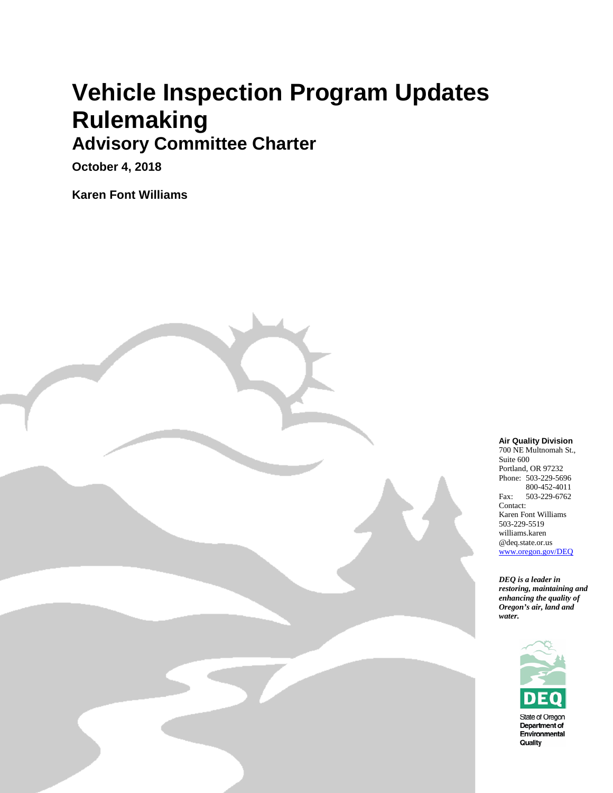## **Vehicle Inspection Program Updates Rulemaking**

#### **Advisory Committee Charter**

**October 4, 2018**

**Karen Font Williams**

Oregon Department of Environmental Quality



700 NE Multnomah St., Suite 600 Portland, OR 97232 Phone: 503-229-5696 800-452-4011 Fax: 503-229-6762 Contact: Karen Font Williams 503-229-5519 williams.karen @deq.state.or.us [www.oregon.gov/DEQ](http://www.oregon.gov/DEQ)

*DEQ is a leader in restoring, maintaining and enhancing the quality of Oregon's air, land and water.*

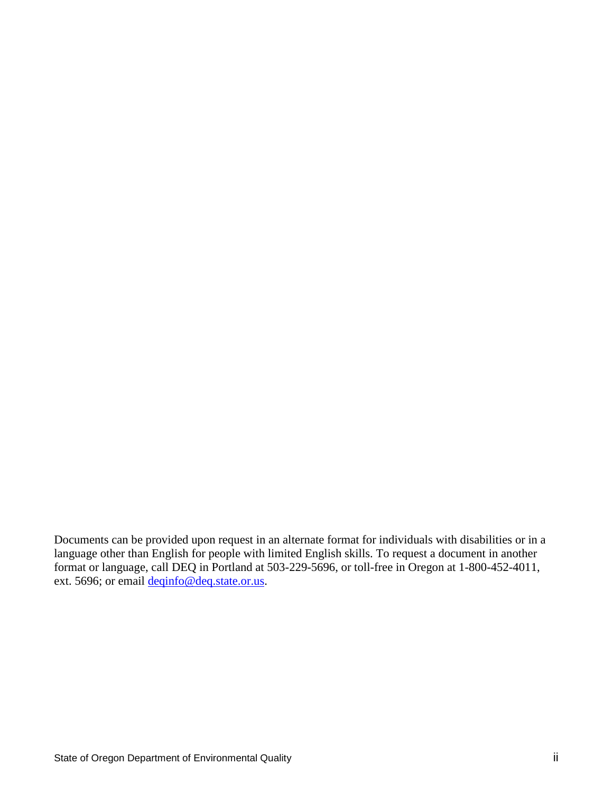Documents can be provided upon request in an alternate format for individuals with disabilities or in a language other than English for people with limited English skills. To request a document in another format or language, call DEQ in Portland at 503-229-5696, or toll-free in Oregon at 1-800-452-4011, ext. 5696; or email <u>deqinfo@deq.state.or.us</u>.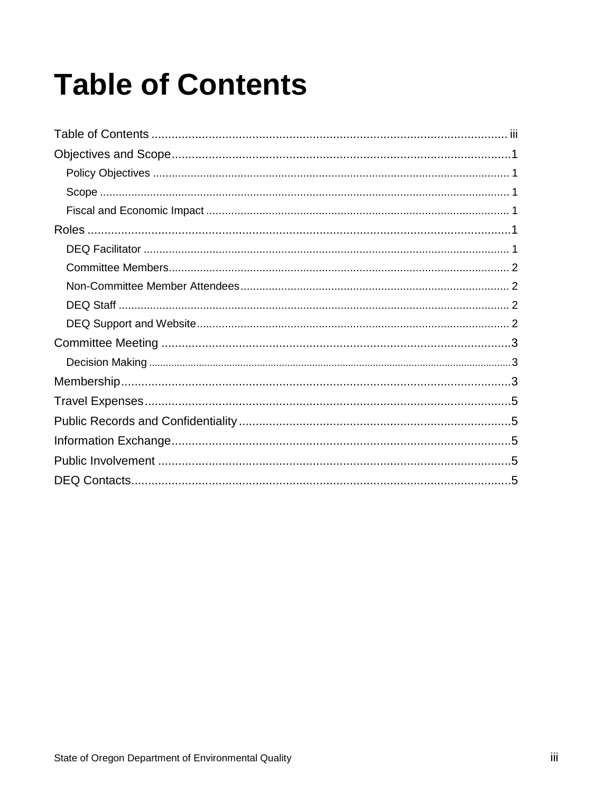# <span id="page-2-0"></span>**Table of Contents**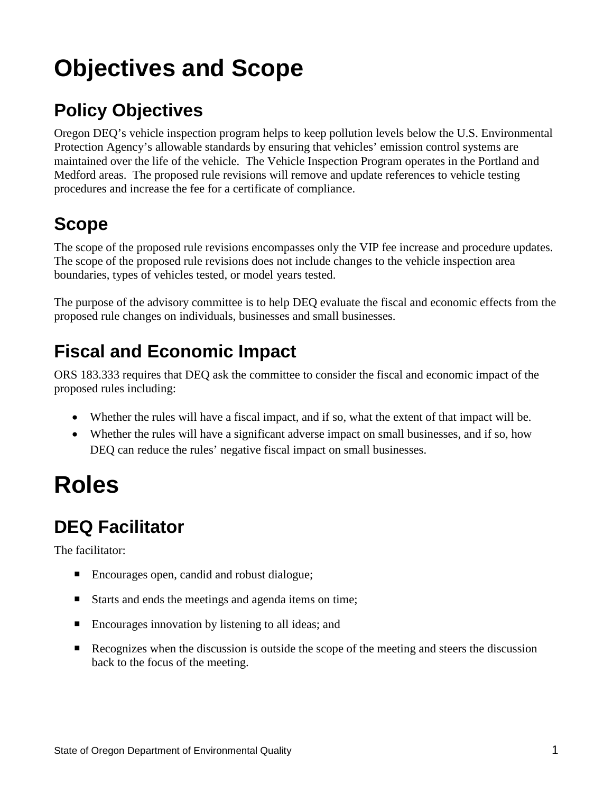### <span id="page-3-0"></span>**Objectives and Scope**

#### <span id="page-3-1"></span>**Policy Objectives**

Oregon DEQ's vehicle inspection program helps to keep pollution levels below the U.S. Environmental Protection Agency's allowable standards by ensuring that vehicles' emission control systems are maintained over the life of the vehicle. The Vehicle Inspection Program operates in the Portland and Medford areas. The proposed rule revisions will remove and update references to vehicle testing procedures and increase the fee for a certificate of compliance.

#### <span id="page-3-2"></span>**Scope**

The scope of the proposed rule revisions encompasses only the VIP fee increase and procedure updates. The scope of the proposed rule revisions does not include changes to the vehicle inspection area boundaries, types of vehicles tested, or model years tested.

The purpose of the advisory committee is to help DEQ evaluate the fiscal and economic effects from the proposed rule changes on individuals, businesses and small businesses.

#### <span id="page-3-3"></span>**Fiscal and Economic Impact**

ORS 183.333 requires that DEQ ask the committee to consider the fiscal and economic impact of the proposed rules including:

- Whether the rules will have a fiscal impact, and if so, what the extent of that impact will be.
- Whether the rules will have a significant adverse impact on small businesses, and if so, how DEO can reduce the rules' negative fiscal impact on small businesses.

### <span id="page-3-4"></span>**Roles**

#### <span id="page-3-5"></span>**DEQ Facilitator**

The facilitator:

- Encourages open, candid and robust dialogue;
- Starts and ends the meetings and agenda items on time;
- Encourages innovation by listening to all ideas; and
- Recognizes when the discussion is outside the scope of the meeting and steers the discussion back to the focus of the meeting.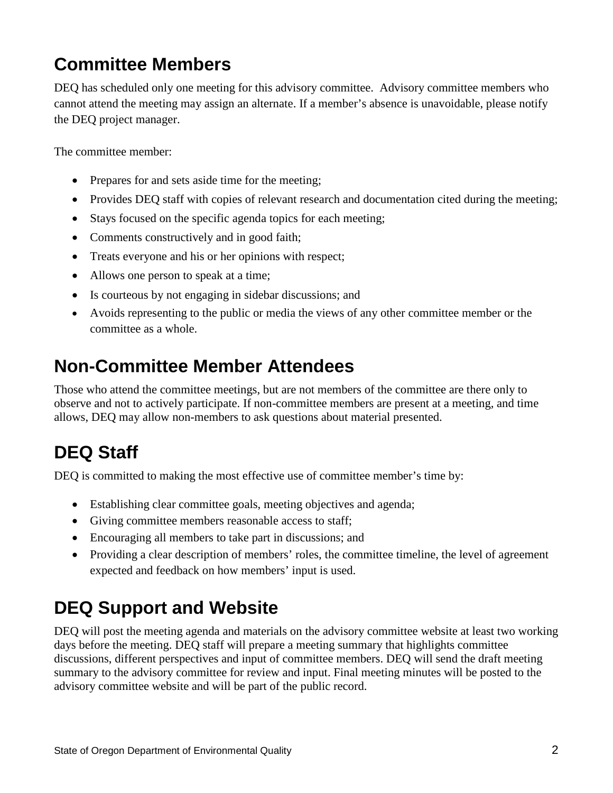#### <span id="page-4-0"></span>**Committee Members**

DEQ has scheduled only one meeting for this advisory committee. Advisory committee members who cannot attend the meeting may assign an alternate. If a member's absence is unavoidable, please notify the DEQ project manager.

The committee member:

- Prepares for and sets aside time for the meeting;
- Provides DEQ staff with copies of relevant research and documentation cited during the meeting;
- Stays focused on the specific agenda topics for each meeting;
- Comments constructively and in good faith;
- Treats everyone and his or her opinions with respect;
- Allows one person to speak at a time;
- Is courteous by not engaging in sidebar discussions; and
- Avoids representing to the public or media the views of any other committee member or the committee as a whole.

#### <span id="page-4-1"></span>**Non-Committee Member Attendees**

Those who attend the committee meetings, but are not members of the committee are there only to observe and not to actively participate. If non-committee members are present at a meeting, and time allows, DEQ may allow non-members to ask questions about material presented.

#### <span id="page-4-2"></span>**DEQ Staff**

DEQ is committed to making the most effective use of committee member's time by:

- Establishing clear committee goals, meeting objectives and agenda;
- Giving committee members reasonable access to staff;
- Encouraging all members to take part in discussions; and
- Providing a clear description of members' roles, the committee timeline, the level of agreement expected and feedback on how members' input is used.

#### <span id="page-4-3"></span>**DEQ Support and Website**

DEQ will post the meeting agenda and materials on the advisory committee website at least two working days before the meeting. DEQ staff will prepare a meeting summary that highlights committee discussions, different perspectives and input of committee members. DEQ will send the draft meeting summary to the advisory committee for review and input. Final meeting minutes will be posted to the advisory committee website and will be part of the public record.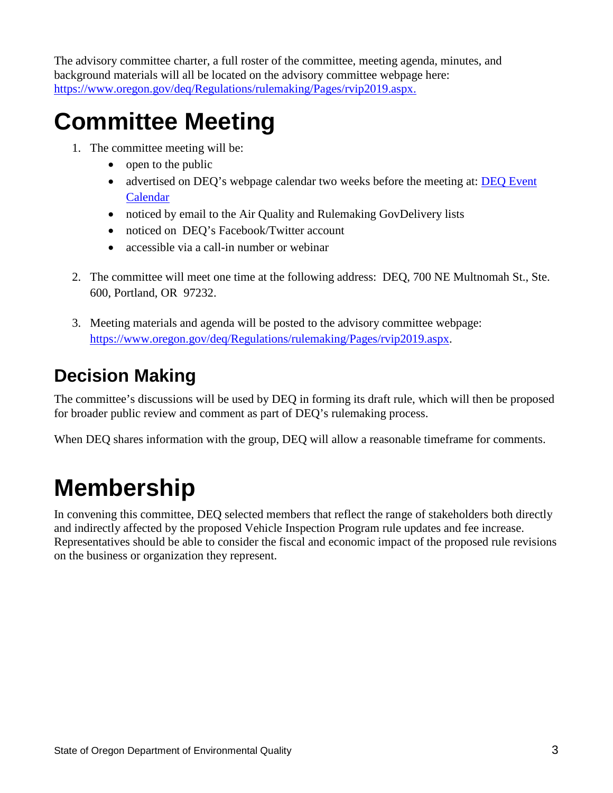The advisory committee charter, a full roster of the committee, meeting agenda, minutes, and background materials will all be located on the advisory committee webpage here: https://www.oregon.gov/deq/Regulations/rulemaking/Pages/rvip2019.aspx.

### <span id="page-5-0"></span>**Committee Meeting**

- 1. The committee meeting will be:
	- open to the public
	- advertised on DEQ's webpage calendar two weeks before the meeting at: DEQ Event [Calendar](http://www.oregon.gov/deq/Pages/Events.aspx)
	- noticed by email to the Air Quality and Rulemaking GovDelivery lists
	- noticed on DEO's Facebook/Twitter account
	- accessible via a call-in number or webinar
- 2. The committee will meet one time at the following address: DEQ, 700 NE Multnomah St., Ste. 600, Portland, OR 97232.
- 3. Meeting materials and agenda will be posted to the advisory committee webpage: [https://www.oregon.gov/deq/Regulations/rulemaking/Pages/rvip2019.aspx.](https://www.oregon.gov/deq/Regulations/rulemaking/Pages/rvip2019.aspx)

#### <span id="page-5-1"></span>**Decision Making**

The committee's discussions will be used by DEQ in forming its draft rule, which will then be proposed for broader public review and comment as part of DEQ's rulemaking process.

When DEQ shares information with the group, DEQ will allow a reasonable time frame for comments.

### <span id="page-5-2"></span>**Membership**

In convening this committee, DEQ selected members that reflect the range of stakeholders both directly and indirectly affected by the proposed Vehicle Inspection Program rule updates and fee increase. Representatives should be able to consider the fiscal and economic impact of the proposed rule revisions on the business or organization they represent.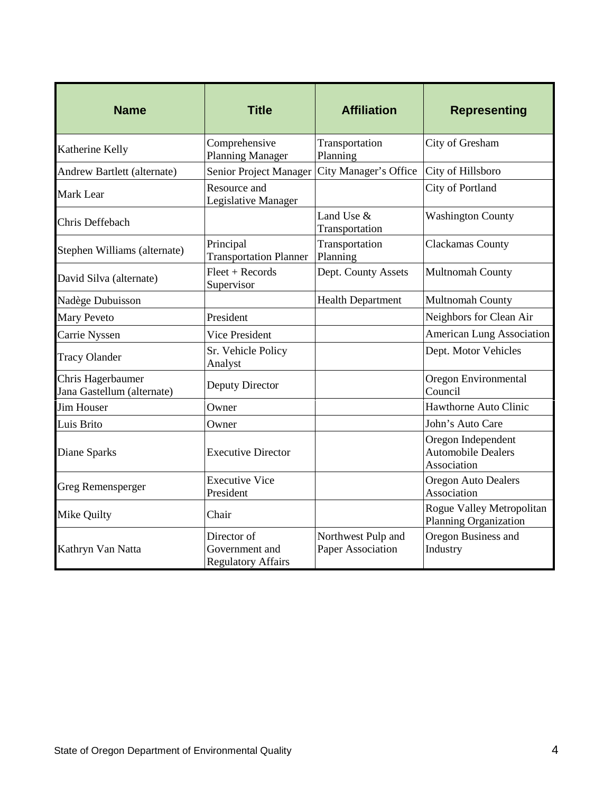| <b>Name</b>                                     | <b>Title</b>                                               | <b>Affiliation</b>                      | <b>Representing</b>                                            |
|-------------------------------------------------|------------------------------------------------------------|-----------------------------------------|----------------------------------------------------------------|
| Katherine Kelly                                 | Comprehensive<br><b>Planning Manager</b>                   | Transportation<br>Planning              | City of Gresham                                                |
| Andrew Bartlett (alternate)                     | Senior Project Manager                                     | City Manager's Office                   | City of Hillsboro                                              |
| <b>Mark Lear</b>                                | Resource and<br>Legislative Manager                        |                                         | City of Portland                                               |
| Chris Deffebach                                 |                                                            | Land Use &<br>Transportation            | <b>Washington County</b>                                       |
| Stephen Williams (alternate)                    | Principal<br><b>Transportation Planner</b>                 | Transportation<br>Planning              | Clackamas County                                               |
| David Silva (alternate)                         | $Fleet + Records$<br>Supervisor                            | Dept. County Assets                     | Multnomah County                                               |
| Nadège Dubuisson                                |                                                            | <b>Health Department</b>                | Multnomah County                                               |
| <b>Mary Peveto</b>                              | President                                                  |                                         | Neighbors for Clean Air                                        |
| Carrie Nyssen                                   | <b>Vice President</b>                                      |                                         | American Lung Association                                      |
| <b>Tracy Olander</b>                            | Sr. Vehicle Policy<br>Analyst                              |                                         | Dept. Motor Vehicles                                           |
| Chris Hagerbaumer<br>Jana Gastellum (alternate) | Deputy Director                                            |                                         | Oregon Environmental<br>Council                                |
| <b>Jim Houser</b>                               | Owner                                                      |                                         | Hawthorne Auto Clinic                                          |
| Luis Brito                                      | Owner                                                      |                                         | John's Auto Care                                               |
| Diane Sparks                                    | <b>Executive Director</b>                                  |                                         | Oregon Independent<br><b>Automobile Dealers</b><br>Association |
| <b>Greg Remensperger</b>                        | <b>Executive Vice</b><br>President                         |                                         | <b>Oregon Auto Dealers</b><br>Association                      |
| Mike Quilty                                     | Chair                                                      |                                         | Rogue Valley Metropolitan<br>Planning Organization             |
| Kathryn Van Natta                               | Director of<br>Government and<br><b>Regulatory Affairs</b> | Northwest Pulp and<br>Paper Association | Oregon Business and<br>Industry                                |